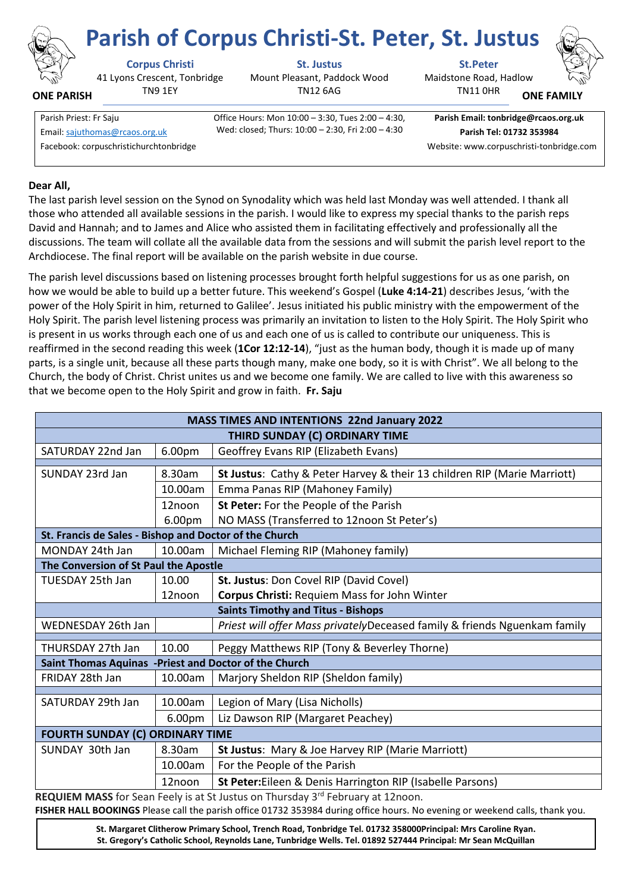

**ONE PARISH**

## **Corpus Christi St. Justus St.Peter**

41 Lyons Crescent, Tonbridge TN9 1EY

Mount Pleasant, Paddock Wood TN12 6AG

Wed: closed; Thurs: 10:00 – 2:30, Fri 2:00 – 4:30

Maidstone Road, Hadlow **Parish of Corpus Christi-St. Peter, St. Justus**

**ONE FAMILY**

Parish Priest: Fr Saju **Office Hours: Mon 10:00 – 3:30, Tues 2:00 – 4:30,** Email[: sajuthomas@rcaos.org.uk](about:blank) **Parish Tel: 01732 353984** Facebook: corpuschristichurchtonbridge Website: www.corpuschristi-tonbridge.com

**Parish Email: tonbridge@rcaos.org.uk**

TN11 0HR

**Dear All,**

The last parish level session on the Synod on Synodality which was held last Monday was well attended. I thank all those who attended all available sessions in the parish. I would like to express my special thanks to the parish reps David and Hannah; and to James and Alice who assisted them in facilitating effectively and professionally all the discussions. The team will collate all the available data from the sessions and will submit the parish level report to the Archdiocese. The final report will be available on the parish website in due course.

The parish level discussions based on listening processes brought forth helpful suggestions for us as one parish, on how we would be able to build up a better future. This weekend's Gospel (**Luke 4:14-21**) describes Jesus, 'with the power of the Holy Spirit in him, returned to Galilee'. Jesus initiated his public ministry with the empowerment of the Holy Spirit. The parish level listening process was primarily an invitation to listen to the Holy Spirit. The Holy Spirit who is present in us works through each one of us and each one of us is called to contribute our uniqueness. This is reaffirmed in the second reading this week (**1Cor 12:12-14**), "just as the human body, though it is made up of many parts, is a single unit, because all these parts though many, make one body, so it is with Christ". We all belong to the Church, the body of Christ. Christ unites us and we become one family. We are called to live with this awareness so that we become open to the Holy Spirit and grow in faith. **Fr. Saju**

| MASS TIMES AND INTENTIONS 22nd January 2022            |                    |                                                                           |
|--------------------------------------------------------|--------------------|---------------------------------------------------------------------------|
| THIRD SUNDAY (C) ORDINARY TIME                         |                    |                                                                           |
| SATURDAY 22nd Jan                                      | 6.00pm             | Geoffrey Evans RIP (Elizabeth Evans)                                      |
| SUNDAY 23rd Jan                                        | 8.30am             | St Justus: Cathy & Peter Harvey & their 13 children RIP (Marie Marriott)  |
|                                                        |                    |                                                                           |
|                                                        | 10.00am            | Emma Panas RIP (Mahoney Family)                                           |
|                                                        | 12noon             | St Peter: For the People of the Parish                                    |
|                                                        | 6.00pm             | NO MASS (Transferred to 12noon St Peter's)                                |
| St. Francis de Sales - Bishop and Doctor of the Church |                    |                                                                           |
| MONDAY 24th Jan                                        | 10.00am            | Michael Fleming RIP (Mahoney family)                                      |
| The Conversion of St Paul the Apostle                  |                    |                                                                           |
| TUESDAY 25th Jan                                       | 10.00              | St. Justus: Don Covel RIP (David Covel)                                   |
|                                                        | 12noon             | Corpus Christi: Requiem Mass for John Winter                              |
| <b>Saints Timothy and Titus - Bishops</b>              |                    |                                                                           |
| WEDNESDAY 26th Jan                                     |                    | Priest will offer Mass privatelyDeceased family & friends Nguenkam family |
| THURSDAY 27th Jan                                      | 10.00              | Peggy Matthews RIP (Tony & Beverley Thorne)                               |
| Saint Thomas Aquinas -Priest and Doctor of the Church  |                    |                                                                           |
| FRIDAY 28th Jan                                        | 10.00am            | Marjory Sheldon RIP (Sheldon family)                                      |
| SATURDAY 29th Jan                                      | 10.00am            |                                                                           |
|                                                        |                    | Legion of Mary (Lisa Nicholls)                                            |
|                                                        | 6.00 <sub>pm</sub> | Liz Dawson RIP (Margaret Peachey)                                         |
| <b>FOURTH SUNDAY (C) ORDINARY TIME</b>                 |                    |                                                                           |
| SUNDAY 30th Jan                                        | 8.30am             | St Justus: Mary & Joe Harvey RIP (Marie Marriott)                         |
|                                                        | 10.00am            | For the People of the Parish                                              |
|                                                        | 12noon             | St Peter: Eileen & Denis Harrington RIP (Isabelle Parsons)                |

**REQUIEM MASS** for Sean Feely is at St Justus on Thursday 3<sup>rd</sup> February at 12noon.

**FISHER HALL BOOKINGS** Please call the parish office 01732 353984 during office hours. No evening or weekend calls, thank you.

**St. Margaret Clitherow Primary School, Trench Road, Tonbridge Tel. 01732 358000Principal: Mrs Caroline Ryan. St. Gregory's Catholic School, Reynolds Lane, Tunbridge Wells. Tel. 01892 527444 Principal: Mr Sean McQuillan**